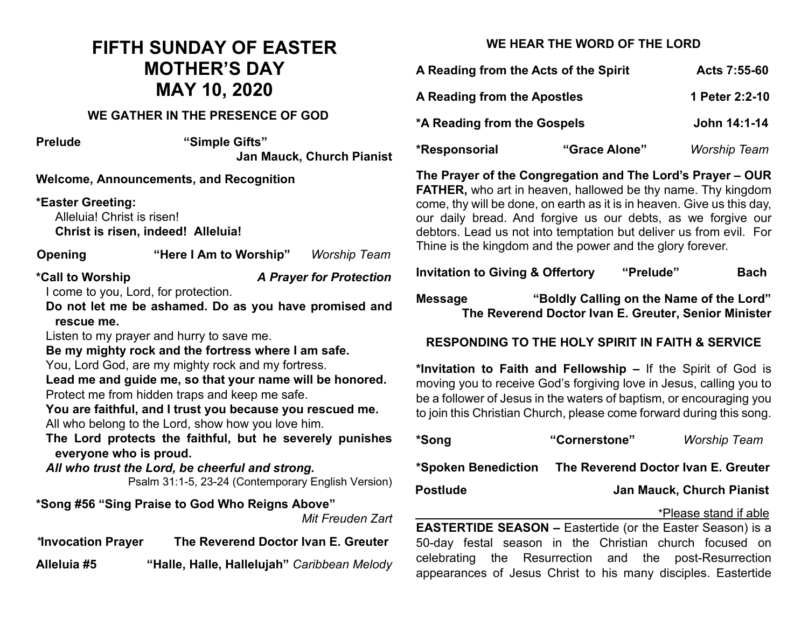# **FIFTH SUNDAY OF EASTER MOTHER'S DAY MAY 10, 2020**

### **WE GATHER IN THE PRESENCE OF GOD**

**Prelude "Simple Gifts"** 

**Jan Mauck, Church Pianist**

**Welcome, Announcements, and Recognition** 

**\*Easter Greeting:** 

Alleluia! Christ is risen! **Christ is risen, indeed! Alleluia!**

| I come to you, Lord, for protection. | "Here I Am to Worship" | <b>Worship Team</b><br><b>A Prayer for Protection</b> |
|--------------------------------------|------------------------|-------------------------------------------------------|

**Do not let me be ashamed. Do as you have promised and rescue me.**

Listen to my prayer and hurry to save me.

**Be my mighty rock and the fortress where I am safe.**

You, Lord God, are my mighty rock and my fortress.

**Lead me and guide me, so that your name will be honored.** Protect me from hidden traps and keep me safe.

**You are faithful, and I trust you because you rescued me.** All who belong to the Lord, show how you love him.

**The Lord protects the faithful, but he severely punishes everyone who is proud.**

### *All who trust the Lord, be cheerful and strong.*

Psalm 31:1-5, 23-24 (Contemporary English Version)

### **\*Song #56 "Sing Praise to God Who Reigns Above"**

*Mit Freuden Zart*

| *Invocation Prayer | The Reverend Doctor Ivan E. Greuter |
|--------------------|-------------------------------------|
|--------------------|-------------------------------------|

**Alleluia #5 "Halle, Halle, Hallelujah"** *Caribbean Melody*

### **WE HEAR THE WORD OF THE LORD**

| A Reading from the Acts of the Spirit |               | Acts 7:55-60        |
|---------------------------------------|---------------|---------------------|
| A Reading from the Apostles           |               | 1 Peter 2:2-10      |
| *A Reading from the Gospels           |               | John 14:1-14        |
| *Responsorial                         | "Grace Alone" | <b>Worship Team</b> |

**The Prayer of the Congregation and The Lord's Prayer – OUR FATHER,** who art in heaven, hallowed be thy name. Thy kingdom come, thy will be done, on earth as it is in heaven. Give us this day, our daily bread. And forgive us our debts, as we forgive our debtors. Lead us not into temptation but deliver us from evil. For Thine is the kingdom and the power and the glory forever.

| <b>Invitation to Giving &amp; Offertory</b> | "Prelude" | <b>Bach</b> |
|---------------------------------------------|-----------|-------------|
|                                             |           |             |

**Message "Boldly Calling on the Name of the Lord" The Reverend Doctor Ivan E. Greuter, Senior Minister**

### **RESPONDING TO THE HOLY SPIRIT IN FAITH & SERVICE**

**\*Invitation to Faith and Fellowship –** If the Spirit of God is moving you to receive God's forgiving love in Jesus, calling you to be a follower of Jesus in the waters of baptism, or encouraging you to join this Christian Church, please come forward during this song.

| *Song               | "Cornerstone"                       | <b>Worship Team</b>              |
|---------------------|-------------------------------------|----------------------------------|
| *Spoken Benediction | The Reverend Doctor Ivan E. Greuter |                                  |
| <b>Postlude</b>     |                                     | <b>Jan Mauck, Church Pianist</b> |
|                     |                                     |                                  |

#### \*Please stand if able

**EASTERTIDE SEASON –** Eastertide (or the Easter Season) is a 50-day festal season in the Christian church focused on celebrating the Resurrection and the post-Resurrection appearances of Jesus Christ to his many disciples. Eastertide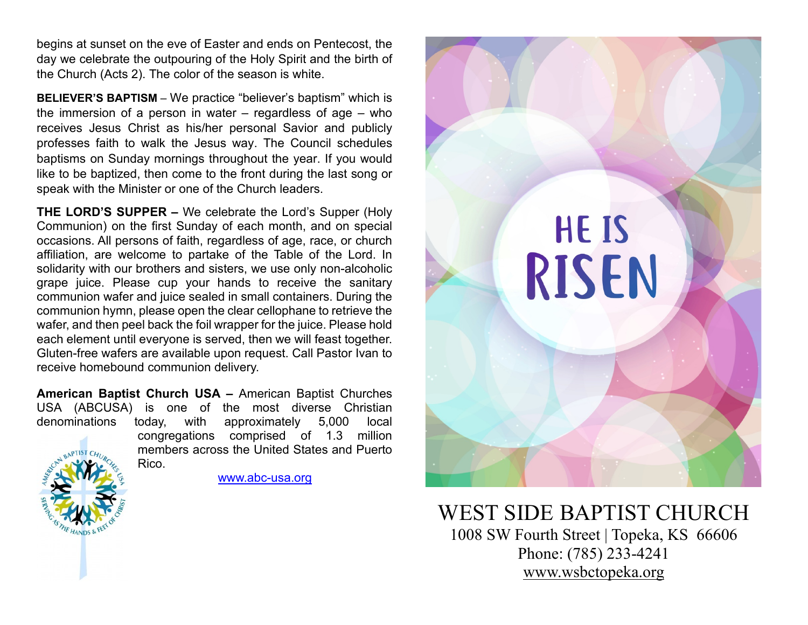begins at sunset on the eve of Easter and ends on Pentecost, the day we celebrate the outpouring of the Holy Spirit and the birth of the Church (Acts 2). The color of the season is white.

**BELIEVER'S BAPTISM** – We practice "believer's baptism" which is the immersion of a person in water  $-$  regardless of age  $-$  who receives Jesus Christ as his/her personal Savior and publicly professes faith to walk the Jesus way. The Council schedules baptisms on Sunday mornings throughout the year. If you would like to be baptized, then come to the front during the last song or speak with the Minister or one of the Church leaders.

**THE LORD'S SUPPER –** We celebrate the Lord's Supper (Holy Communion) on the first Sunday of each month, and on special occasions. All persons of faith, regardless of age, race, or church affiliation, are welcome to partake of the Table of the Lord. In solidarity with our brothers and sisters, we use only non-alcoholic grape juice. Please cup your hands to receive the sanitary communion wafer and juice sealed in small containers. During the communion hymn, please open the clear cellophane to retrieve the wafer, and then peel back the foil wrapper for the juice. Please hold each element until everyone is served, then we will feast together. Gluten-free wafers are available upon request. Call Pastor Ivan to receive homebound communion delivery.

**American Baptist Church USA –** American Baptist Churches USA (ABCUSA) is one of the most diverse Christian denominations today, with approximately 5,000 local congregations comprised of 1.3 million members across the United States and Puerto

Rico.



[www.abc-usa.org](http://www.abc-usa.org/)



# WEST SIDE BAPTIST CHURCH<br>1008 SW Fourth Street | Topeka, KS 66606

Phone: (785) 233-4241 [www.wsbctopeka.org](http://www.wsbctopeka.org/)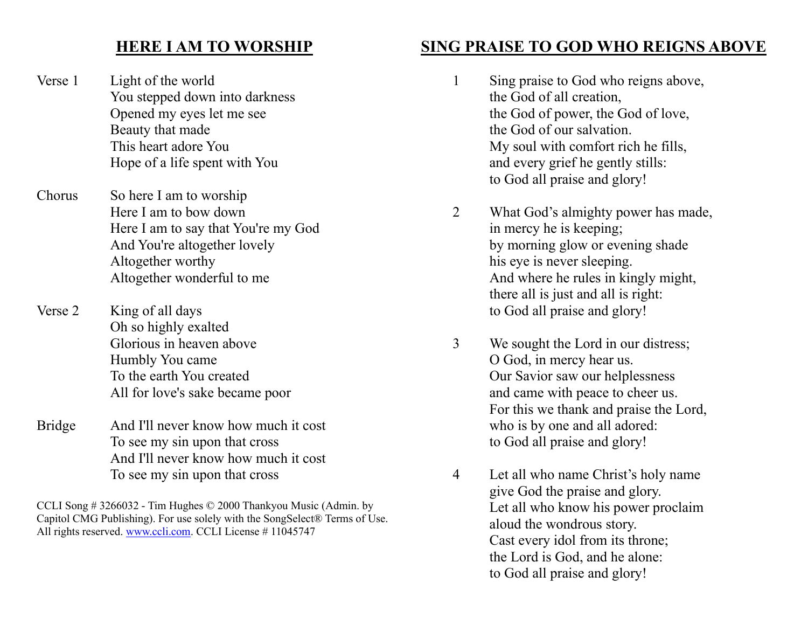## **HERE I AM TO WORSHIP**

- Verse 1 Light of the world You stepped down into darkness Opened my eyes let me see Beauty that made This heart adore You Hope of a life spent with You
- Chorus So here I am to worship Here I am to bow down Here I am to say that You're my God And You're altogether lovely Altogether worthy Altogether wonderful to me
- Verse 2 King of all days Oh so highly exalted Glorious in heaven above Humbly You came To the earth You created All for love's sake became poor
- Bridge And I'll never know how much it cost To see my sin upon that cross And I'll never know how much it cost To see my sin upon that cross

CCLI Song # 3266032 - Tim Hughes © 2000 Thankyou Music (Admin. by Capitol CMG Publishing). For use solely with the SongSelect® Terms of Use. All rights reserved. [www.ccli.com.](http://www.ccli.com/) CCLI License # 11045747

## **SING PRAISE TO GOD WHO REIGNS ABOVE**

- 1 Sing praise to God who reigns above, the God of all creation, the God of power, the God of love, the God of our salvation. My soul with comfort rich he fills, and every grief he gently stills: to God all praise and glory!
- 2 What God's almighty power has made, in mercy he is keeping; by morning glow or evening shade his eye is never sleeping. And where he rules in kingly might, there all is just and all is right: to God all praise and glory!
- 3 We sought the Lord in our distress; O God, in mercy hear us. Our Savior saw our helplessness and came with peace to cheer us. For this we thank and praise the Lord, who is by one and all adored: to God all praise and glory!
- 4 Let all who name Christ's holy name give God the praise and glory. Let all who know his power proclaim aloud the wondrous story. Cast every idol from its throne; the Lord is God, and he alone: to God all praise and glory!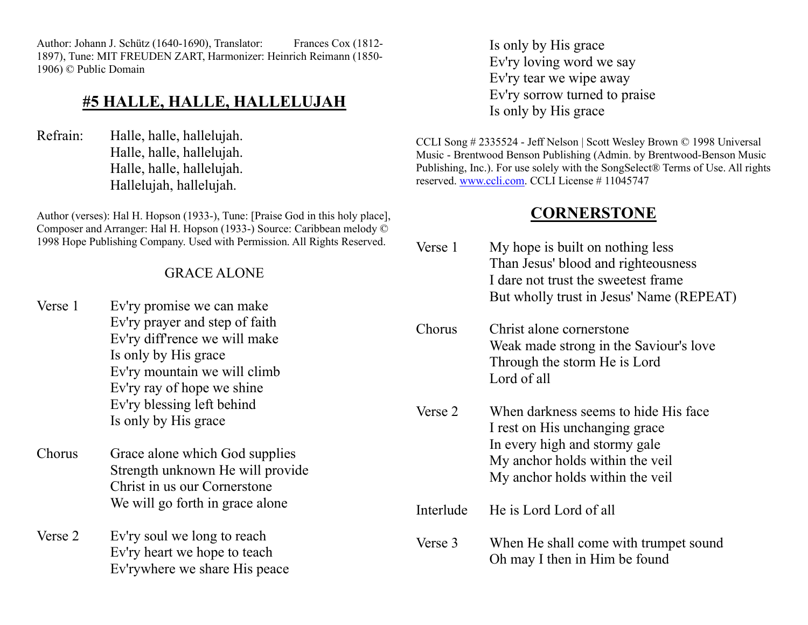Author: Johann J. Schütz (1640-1690), Translator: Frances Cox (1812-1897), Tune: MIT FREUDEN ZART, Harmonizer: Heinrich Reimann (1850- 1906) © Public Domain

## **#5 HALLE, HALLE, HALLELUJAH**

Refrain: Halle, halle, hallelujah. Halle, halle, hallelujah. Halle, halle, hallelujah. Hallelujah, hallelujah.

Author (verses): Hal H. Hopson (1933-), Tune: [Praise God in this holy place], Composer and Arranger: Hal H. Hopson (1933-) Source: Caribbean melody © 1998 Hope Publishing Company. Used with Permission. All Rights Reserved.

### GRACE ALONE

| Verse 1 | Ev'ry promise we can make                                                                                                                            |           | But wholly trust in Jesus' Name (REPEAT)                                                                          |
|---------|------------------------------------------------------------------------------------------------------------------------------------------------------|-----------|-------------------------------------------------------------------------------------------------------------------|
|         | Ev'ry prayer and step of faith<br>Ev'ry diffrence we will make<br>Is only by His grace<br>Ev'ry mountain we will climb<br>Ev'ry ray of hope we shine | Chorus    | Christ alone cornerstone<br>Weak made strong in the Saviour's love<br>Through the storm He is Lord<br>Lord of all |
|         | Ev'ry blessing left behind<br>Is only by His grace                                                                                                   | Verse 2   | When darkness seems to hide His face<br>I rest on His unchanging grace                                            |
| Chorus  | Grace alone which God supplies<br>Strength unknown He will provide<br>Christ in us our Cornerstone                                                   |           | In every high and stormy gale<br>My anchor holds within the veil<br>My anchor holds within the veil               |
|         | We will go forth in grace alone                                                                                                                      | Interlude | He is Lord Lord of all                                                                                            |
| Verse 2 | Ev'ry soul we long to reach<br>Ev'ry heart we hope to teach<br>Ev'rywhere we share His peace                                                         | Verse 3   | When He shall come with trumpet sound<br>Oh may I then in Him be found                                            |

Is only by His grace Ev'ry loving word we say Ev'ry tear we wipe away Ev'ry sorrow turned to praise Is only by His grace

CCLI Song # 2335524 - Jeff Nelson | Scott Wesley Brown © 1998 Universal Music - Brentwood Benson Publishing (Admin. by Brentwood-Benson Music Publishing, Inc.). For use solely with the SongSelect® Terms of Use. All rights reserved. [www.ccli.com.](http://www.ccli.com/) CCLI License # 11045747

## **CORNERSTONE**

Than Jesus' blood and righteousness I dare not trust the sweetest frame

Verse 1 My hope is built on nothing less